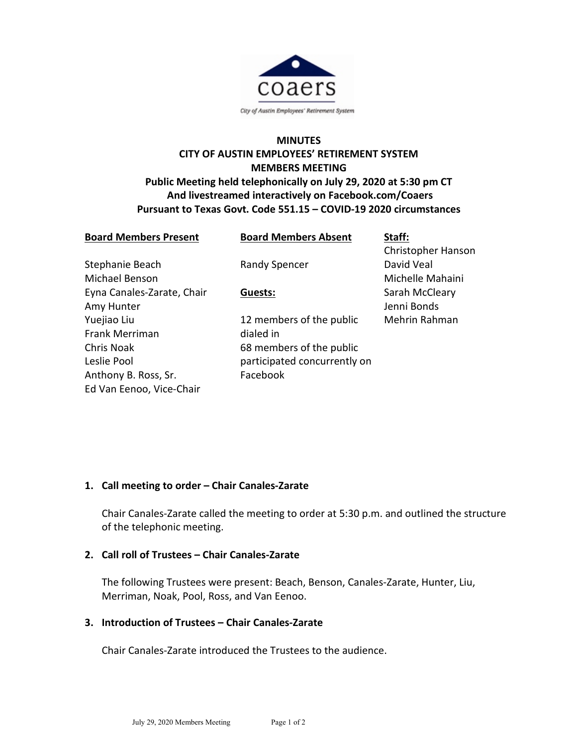

# **MINUTES CITY OF AUSTIN EMPLOYEES' RETIREMENT SYSTEM MEMBERS MEETING Public Meeting held telephonically on July 29, 2020 at 5:30 pm CT And livestreamed interactively on Facebook.com/Coaers Pursuant to Texas Govt. Code 551.15 – COVID-19 2020 circumstances**

| <b>Board Members Present</b> | <b>Board Members Absent</b>  | Staff:             |
|------------------------------|------------------------------|--------------------|
|                              |                              | Christopher Hanson |
| Stephanie Beach              | <b>Randy Spencer</b>         | David Veal         |
| Michael Benson               |                              | Michelle Mahaini   |
| Eyna Canales-Zarate, Chair   | Guests:                      | Sarah McCleary     |
| Amy Hunter                   |                              | Jenni Bonds        |
| Yuejiao Liu                  | 12 members of the public     | Mehrin Rahman      |
| <b>Frank Merriman</b>        | dialed in                    |                    |
| Chris Noak                   | 68 members of the public     |                    |
| Leslie Pool                  | participated concurrently on |                    |
| Anthony B. Ross, Sr.         | Facebook                     |                    |
| Ed Van Eenoo, Vice-Chair     |                              |                    |

### **1. Call meeting to order – Chair Canales-Zarate**

Chair Canales-Zarate called the meeting to order at 5:30 p.m. and outlined the structure of the telephonic meeting.

### **2. Call roll of Trustees – Chair Canales-Zarate**

The following Trustees were present: Beach, Benson, Canales-Zarate, Hunter, Liu, Merriman, Noak, Pool, Ross, and Van Eenoo.

### **3. Introduction of Trustees – Chair Canales-Zarate**

Chair Canales-Zarate introduced the Trustees to the audience.